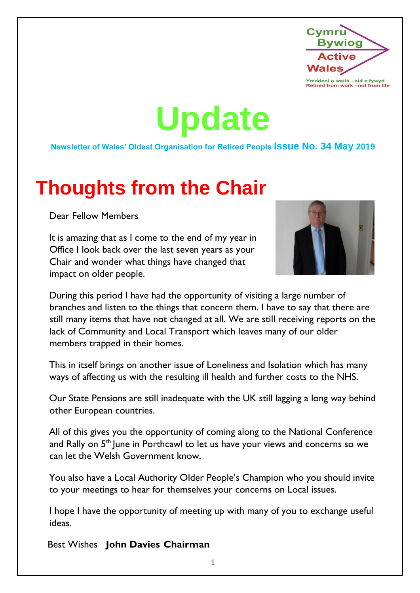

**Update**

**Newsletter of Wales' Oldest Organisation for Retired People Issue No. 34 May 2019**

# **Thoughts from the Chair**

Dear Fellow Members

It is amazing that as I come to the end of my year in Office I look back over the last seven years as your Chair and wonder what things have changed that impact on older people.



During this period I have had the opportunity of visiting a large number of branches and listen to the things that concern them. I have to say that there are still many items that have not changed at all. We are still receiving reports on the lack of Community and Local Transport which leaves many of our older members trapped in their homes.

This in itself brings on another issue of Loneliness and Isolation which has many ways of affecting us with the resulting ill health and further costs to the NHS.

Our State Pensions are still inadequate with the UK still lagging a long way behind other European countries.

All of this gives you the opportunity of coming along to the National Conference and Rally on 5<sup>th</sup> June in Porthcawl to let us have your views and concerns so we can let the Welsh Government know.

You also have a Local Authority Older People's Champion who you should invite to your meetings to hear for themselves your concerns on Local issues.

I hope I have the opportunity of meeting up with many of you to exchange useful ideas.

Best Wishes **John Davies Chairman**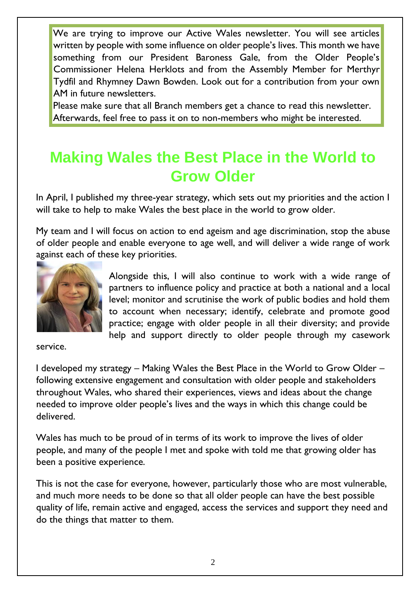We are trying to improve our Active Wales newsletter. You will see articles written by people with some influence on older people's lives. This month we have something from our President Baroness Gale, from the Older People's Commissioner Helena Herklots and from the Assembly Member for Merthyr Tydfil and Rhymney Dawn Bowden. Look out for a contribution from your own AM in future newsletters.

Please make sure that all Branch members get a chance to read this newsletter. Afterwards, feel free to pass it on to non-members who might be interested.

### **Making Wales the Best Place in the World to Grow Older**

In April, I published my three-year strategy, which sets out my priorities and the action I will take to help to make Wales the best place in the world to grow older.

My team and I will focus on action to end ageism and age discrimination, stop the abuse of older people and enable everyone to age well, and will deliver a wide range of work against each of these key priorities.



Alongside this, I will also continue to work with a wide range of partners to influence policy and practice at both a national and a local level; monitor and scrutinise the work of public bodies and hold them to account when necessary; identify, celebrate and promote good practice; engage with older people in all their diversity; and provide help and support directly to older people through my casework

service.

I developed my strategy – Making Wales the Best Place in the World to Grow Older – following extensive engagement and consultation with older people and stakeholders throughout Wales, who shared their experiences, views and ideas about the change needed to improve older people's lives and the ways in which this change could be delivered.

Wales has much to be proud of in terms of its work to improve the lives of older people, and many of the people I met and spoke with told me that growing older has been a positive experience.

This is not the case for everyone, however, particularly those who are most vulnerable, and much more needs to be done so that all older people can have the best possible quality of life, remain active and engaged, access the services and support they need and do the things that matter to them.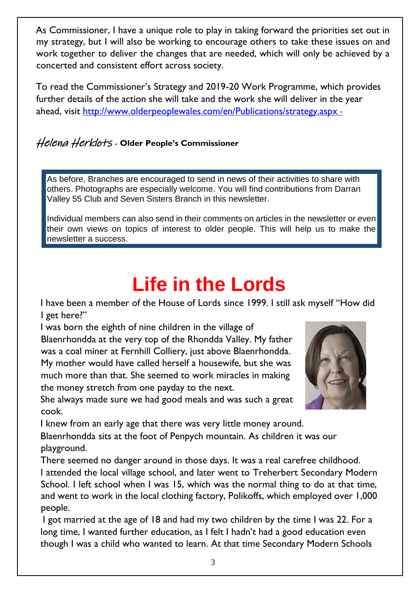As Commissioner, I have a unique role to play in taking forward the priorities set out in my strategy, but I will also be working to encourage others to take these issues on and work together to deliver the changes that are needed, which will only be achieved by a concerted and consistent effort across society.

To read the Commissioner's Strategy and 2019-20 Work Programme, which provides further details of the action she will take and the work she will deliver in the year ahead, visit<http://www.olderpeoplewales.com/en/Publications/strategy.aspx> -

#### Helena Herklots - **Older People's Commissioner**

As before, Branches are encouraged to send in news of their activities to share with others. Photographs are especially welcome. You will find contributions from Darran Valley 55 Club and Seven Sisters Branch in this newsletter.

Individual members can also send in their comments on articles in the newsletter or even their own views on topics of interest to older people. This will help us to make the newsletter a success.

# **Life in the Lords**

I have been a member of the House of Lords since 1999. I still ask myself "How did I get here?"

I was born the eighth of nine children in the village of Blaenrhondda at the very top of the Rhondda Valley. My father was a coal miner at Fernhill Colliery, just above Blaenrhondda. My mother would have called herself a housewife, but she was much more than that. She seemed to work miracles in making the money stretch from one payday to the next.

She always made sure we had good meals and was such a great



I knew from an early age that there was very little money around.

cook.

Blaenrhondda sits at the foot of Penpych mountain. As children it was our playground.

There seemed no danger around in those days. It was a real carefree childhood. I attended the local village school, and later went to Treherbert Secondary Modern School. I left school when I was 15, which was the normal thing to do at that time, and went to work in the local clothing factory, Polikoffs, which employed over 1,000 people.

I got married at the age of 18 and had my two children by the time I was 22. For a long time, I wanted further education, as I felt I hadn't had a good education even though I was a child who wanted to learn. At that time Secondary Modern Schools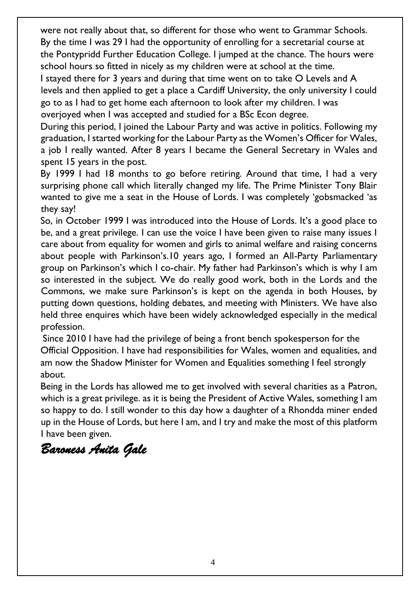were not really about that, so different for those who went to Grammar Schools. By the time I was 29 I had the opportunity of enrolling for a secretarial course at the Pontypridd Further Education College. I jumped at the chance. The hours were school hours so fitted in nicely as my children were at school at the time.

I stayed there for 3 years and during that time went on to take O Levels and A levels and then applied to get a place a Cardiff University, the only university I could go to as I had to get home each afternoon to look after my children. I was overjoyed when I was accepted and studied for a BSc Econ degree.

During this period, I joined the Labour Party and was active in politics. Following my graduation, I started working for the Labour Party as the Women's Officer for Wales, a job I really wanted. After 8 years I became the General Secretary in Wales and spent 15 years in the post.

By 1999 I had 18 months to go before retiring. Around that time, I had a very surprising phone call which literally changed my life. The Prime Minister Tony Blair wanted to give me a seat in the House of Lords. I was completely 'gobsmacked 'as they say!

So, in October 1999 I was introduced into the House of Lords. It's a good place to be, and a great privilege. I can use the voice I have been given to raise many issues I care about from equality for women and girls to animal welfare and raising concerns about people with Parkinson's.10 years ago, I formed an All-Party Parliamentary group on Parkinson's which I co-chair. My father had Parkinson's which is why I am so interested in the subject. We do really good work, both in the Lords and the Commons, we make sure Parkinson's is kept on the agenda in both Houses, by putting down questions, holding debates, and meeting with Ministers. We have also held three enquires which have been widely acknowledged especially in the medical profession.

Since 2010 I have had the privilege of being a front bench spokesperson for the Official Opposition. I have had responsibilities for Wales, women and equalities, and am now the Shadow Minister for Women and Equalities something I feel strongly about.

Being in the Lords has allowed me to get involved with several charities as a Patron, which is a great privilege. as it is being the President of Active Wales, something I am so happy to do. I still wonder to this day how a daughter of a Rhondda miner ended up in the House of Lords, but here I am, and I try and make the most of this platform I have been given.

### *Baroness Anita Gale*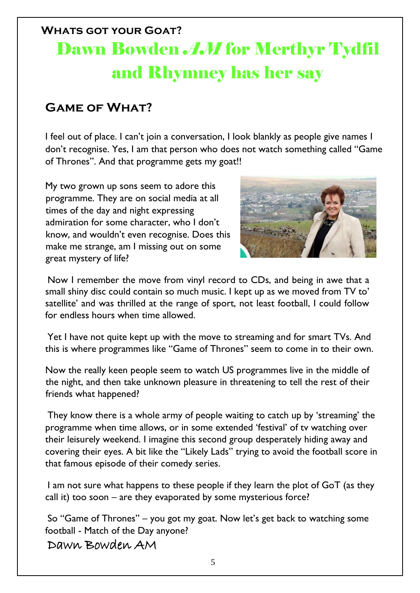## **Whats got your Goat?** Dawn Bowden *AM* for Merthyr Tydfil and Rhymney has her say

#### **Game of What?**

I feel out of place. I can't join a conversation, I look blankly as people give names I don't recognise. Yes, I am that person who does not watch something called "Game of Thrones". And that programme gets my goat!!

My two grown up sons seem to adore this programme. They are on social media at all times of the day and night expressing admiration for some character, who I don't know, and wouldn't even recognise. Does this make me strange, am I missing out on some great mystery of life?



Now I remember the move from vinyl record to CDs, and being in awe that a small shiny disc could contain so much music. I kept up as we moved from TV to' satellite' and was thrilled at the range of sport, not least football, I could follow for endless hours when time allowed.

Yet I have not quite kept up with the move to streaming and for smart TVs. And this is where programmes like "Game of Thrones" seem to come in to their own.

Now the really keen people seem to watch US programmes live in the middle of the night, and then take unknown pleasure in threatening to tell the rest of their friends what happened?

They know there is a whole army of people waiting to catch up by 'streaming' the programme when time allows, or in some extended 'festival' of tv watching over their leisurely weekend. I imagine this second group desperately hiding away and covering their eyes. A bit like the "Likely Lads" trying to avoid the football score in that famous episode of their comedy series.

I am not sure what happens to these people if they learn the plot of GoT (as they call it) too soon – are they evaporated by some mysterious force?

So "Game of Thrones" – you got my goat. Now let's get back to watching some football - Match of the Day anyone?

Dawn Bowden AM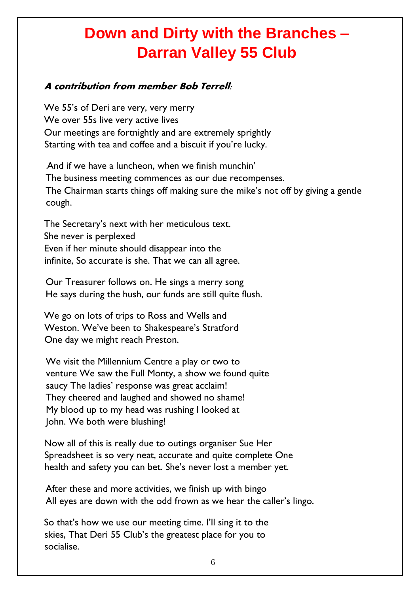## **Down and Dirty with the Branches – Darran Valley 55 Club**

#### **A contribution from member Bob Terrell:**

We 55's of Deri are very, very merry We over 55s live very active lives Our meetings are fortnightly and are extremely sprightly Starting with tea and coffee and a biscuit if you're lucky.

And if we have a luncheon, when we finish munchin' The business meeting commences as our due recompenses. The Chairman starts things off making sure the mike's not off by giving a gentle cough.

The Secretary's next with her meticulous text. She never is perplexed Even if her minute should disappear into the infinite, So accurate is she. That we can all agree.

Our Treasurer follows on. He sings a merry song He says during the hush, our funds are still quite flush.

We go on lots of trips to Ross and Wells and Weston. We've been to Shakespeare's Stratford One day we might reach Preston.

We visit the Millennium Centre a play or two to venture We saw the Full Monty, a show we found quite saucy The ladies' response was great acclaim! They cheered and laughed and showed no shame! My blood up to my head was rushing I looked at John. We both were blushing!

Now all of this is really due to outings organiser Sue Her Spreadsheet is so very neat, accurate and quite complete One health and safety you can bet. She's never lost a member yet.

After these and more activities, we finish up with bingo All eyes are down with the odd frown as we hear the caller's lingo.

So that's how we use our meeting time. I'll sing it to the skies, That Deri 55 Club's the greatest place for you to socialise.